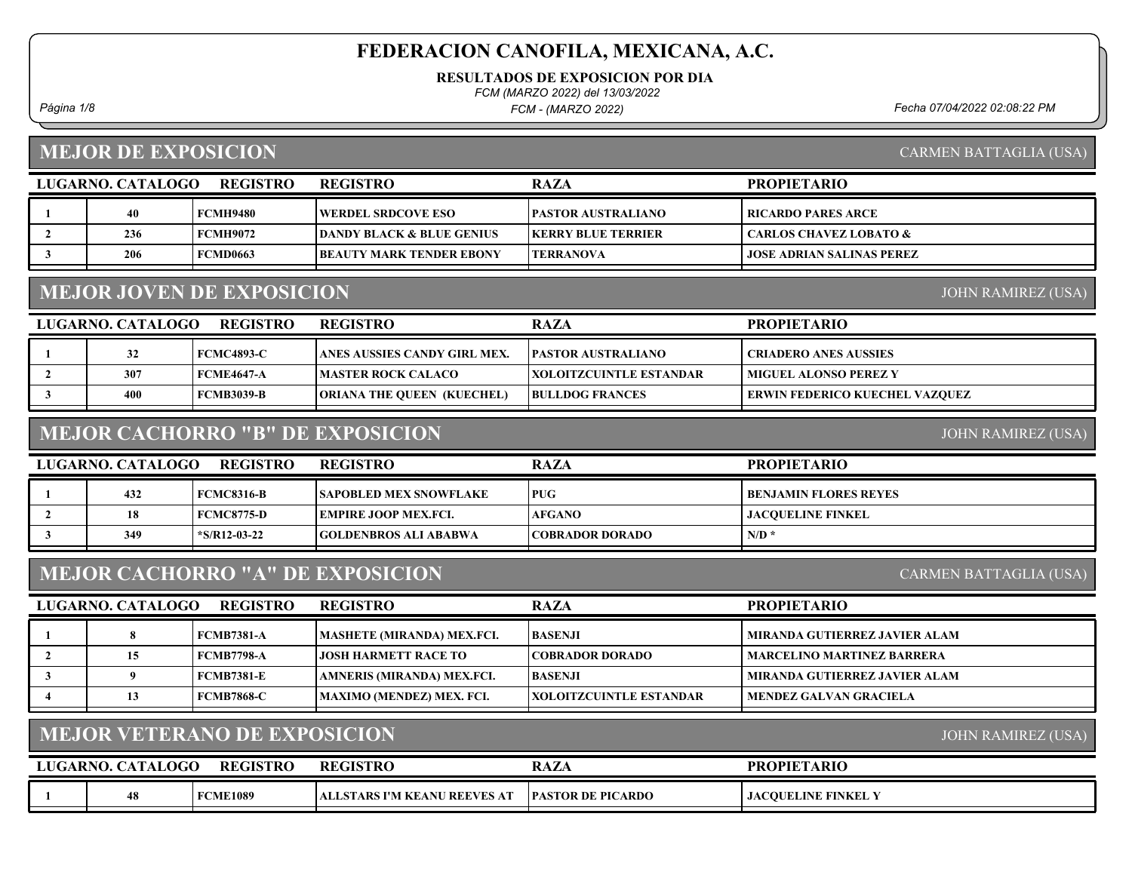RESULTADOS DE EXPOSICION POR DIA

FCM (MARZO 2022) del 13/03/2022

FCM - (MARZO 2022)

Página 1/8 Fecha 07/04/2022 02:08:22 PM

# MEJOR DE EXPOSICION

CARMEN BATTAGLIA (USA)

|                                                               | LUGARNO. CATALOGO | <b>REGISTRO</b>                     | <b>REGISTRO</b>                         | <b>RAZA</b>                    | <b>PROPIETARIO</b>                |  |
|---------------------------------------------------------------|-------------------|-------------------------------------|-----------------------------------------|--------------------------------|-----------------------------------|--|
|                                                               | 40                | <b>FCMH9480</b>                     | <b>WERDEL SRDCOVE ESO</b>               | PASTOR AUSTRALIANO             | <b>RICARDO PARES ARCE</b>         |  |
| $\overline{2}$                                                | 236               | <b>FCMH9072</b>                     | <b>DANDY BLACK &amp; BLUE GENIUS</b>    | <b>KERRY BLUE TERRIER</b>      | <b>CARLOS CHAVEZ LOBATO &amp;</b> |  |
| $\mathbf{3}$                                                  | 206               | <b>FCMD0663</b>                     | <b>BEAUTY MARK TENDER EBONY</b>         | <b>TERRANOVA</b>               | <b>JOSE ADRIAN SALINAS PEREZ</b>  |  |
| <b>MEJOR JOVEN DE EXPOSICION</b><br><b>JOHN RAMIREZ (USA)</b> |                   |                                     |                                         |                                |                                   |  |
|                                                               | LUGARNO. CATALOGO | <b>REGISTRO</b>                     | <b>REGISTRO</b>                         | <b>RAZA</b>                    | <b>PROPIETARIO</b>                |  |
|                                                               | 32                | <b>FCMC4893-C</b>                   | ANES AUSSIES CANDY GIRL MEX.            | <b>PASTOR AUSTRALIANO</b>      | <b>CRIADERO ANES AUSSIES</b>      |  |
| $\overline{2}$                                                | 307               | <b>FCME4647-A</b>                   | <b>MASTER ROCK CALACO</b>               | <b>XOLOITZCUINTLE ESTANDAR</b> | <b>MIGUEL ALONSO PEREZ Y</b>      |  |
| 3                                                             | 400               | <b>FCMB3039-B</b>                   | <b>ORIANA THE QUEEN (KUECHEL)</b>       | <b>BULLDOG FRANCES</b>         | ERWIN FEDERICO KUECHEL VAZQUEZ    |  |
|                                                               |                   |                                     | <b>MEJOR CACHORRO "B" DE EXPOSICION</b> |                                | <b>JOHN RAMIREZ (USA)</b>         |  |
|                                                               | LUGARNO. CATALOGO | <b>REGISTRO</b>                     | <b>REGISTRO</b>                         | <b>RAZA</b>                    | <b>PROPIETARIO</b>                |  |
| 1                                                             | 432               | <b>FCMC8316-B</b>                   | <b>SAPOBLED MEX SNOWFLAKE</b>           | <b>PUG</b>                     | <b>BENJAMIN FLORES REYES</b>      |  |
| $\overline{2}$                                                | 18                | <b>FCMC8775-D</b>                   | <b>EMPIRE JOOP MEX.FCI.</b>             | <b>AFGANO</b>                  | <b>JACOUELINE FINKEL</b>          |  |
| 3                                                             | 349               | $*$ S/R12-03-22                     | GOLDENBROS ALI ABABWA                   | <b>COBRADOR DORADO</b>         | $N/D$ *                           |  |
|                                                               |                   |                                     | <b>MEJOR CACHORRO "A" DE EXPOSICION</b> |                                | CARMEN BATTAGLIA (USA)            |  |
|                                                               | LUGARNO. CATALOGO | <b>REGISTRO</b>                     | <b>REGISTRO</b>                         | <b>RAZA</b>                    | <b>PROPIETARIO</b>                |  |
| 1                                                             | 8                 | <b>FCMB7381-A</b>                   | <b>MASHETE (MIRANDA) MEX.FCI.</b>       | <b>BASENJI</b>                 | MIRANDA GUTIERREZ JAVIER ALAM     |  |
| $\overline{2}$                                                | 15                | <b>FCMB7798-A</b>                   | JOSH HARMETT RACE TO                    | <b>COBRADOR DORADO</b>         | <b>MARCELINO MARTINEZ BARRERA</b> |  |
| $\mathbf{3}$                                                  | 9                 | <b>FCMB7381-E</b>                   | AMNERIS (MIRANDA) MEX.FCI.              | <b>BASENJI</b>                 | MIRANDA GUTIERREZ JAVIER ALAM     |  |
| $\overline{\bf{4}}$                                           | 13                | <b>FCMB7868-C</b>                   | MAXIMO (MENDEZ) MEX. FCI.               | XOLOITZCUINTLE ESTANDAR        | <b>MENDEZ GALVAN GRACIELA</b>     |  |
|                                                               |                   | <b>MEJOR VETERANO DE EXPOSICION</b> |                                         |                                | <b>JOHN RAMIREZ (USA)</b>         |  |
|                                                               | LUGARNO. CATALOGO | <b>REGISTRO</b>                     | <b>REGISTRO</b>                         | <b>RAZA</b>                    | <b>PROPIETARIO</b>                |  |
| -1                                                            | 48                | <b>FCME1089</b>                     | ALLSTARS I'M KEANU REEVES AT            | <b>PASTOR DE PICARDO</b>       | <b>JACQUELINE FINKEL Y</b>        |  |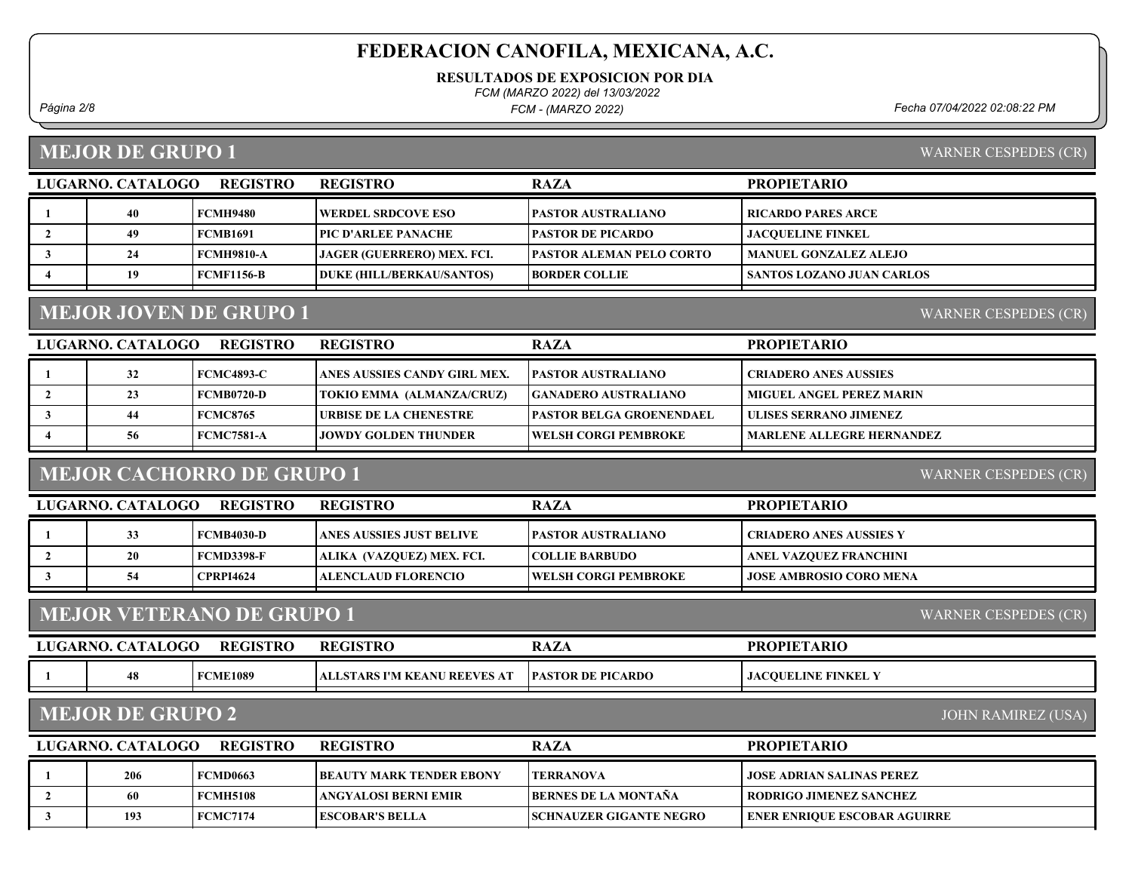RESULTADOS DE EXPOSICION POR DIA

FCM (MARZO 2022) del 13/03/2022

FCM - (MARZO 2022)

Página 2/8 Fecha 07/04/2022 02:08:22 PM

### MEJOR DE GRUPO 1

WARNER CESPEDES (CR)

WARNER CESPEDES (CR)

| LUGARNO. CATALOGO<br><b>REGISTRO</b> |    |            | <b>REGISTRO</b>                   | <b>RAZA</b>                     | <b>PROPIETARIO</b>               |
|--------------------------------------|----|------------|-----------------------------------|---------------------------------|----------------------------------|
|                                      |    | FCMH9480   | <b>WERDEL SRDCOVE ESO</b>         | <b>PASTOR AUSTRALIANO</b>       | <b>  RICARDO PARES ARCE</b>      |
|                                      | 49 | FCMB1691   | PIC D'ARLEE PANACHE               | <b>PASTOR DE PICARDO</b>        | <b>JACOUELINE FINKEL</b>         |
|                                      | 24 | FCMH9810-A | <b>JAGER (GUERRERO) MEX. FCI.</b> | <b>PASTOR ALEMAN PELO CORTO</b> | MANUEL GONZALEZ ALEJO            |
|                                      | 19 | FCMF1156-B | <b>DUKE (HILL/BERKAU/SANTOS)</b>  | <b>BORDER COLLIE</b>            | <b>SANTOS LOZANO JUAN CARLOS</b> |
|                                      |    |            |                                   |                                 |                                  |

## MEJOR JOVEN DE GRUPO 1

LUGARNO. CATALOGO REGISTRO REGISTRO RAZA PROPIETARIO 1 32 FCMC4893-C ANES AUSSIES CANDY GIRL MEX. PASTOR AUSTRALIANO CRIADERO ANES AUSSIES 2 | 23 FCMB0720-D | TOKIO EMMA (ALMANZA/CRUZ) | GANADERO AUSTRALIANO | MIGUEL ANGEL PEREZ MARIN 3 | 44 | FCMC8765 | URBISE DE LA CHENESTRE | PASTOR BELGA GROENENDAEL | ULISES SERRANO JIMENEZ 4 56 FCMC7581-A JOWDY GOLDEN THUNDER WELSH CORGI PEMBROKE MARLENE ALLEGRE HERNANDEZ

## MEJOR CACHORRO DE GRUPO 1

WARNER CESPEDES (CR)

| LUGARNO. CATALOGO | <b>REGISTRO</b>   | <b>REGISTRO</b>           | <b>RAZA</b>                  | <b>PROPIETARIO</b>             |
|-------------------|-------------------|---------------------------|------------------------------|--------------------------------|
| $\sim$            | <b>FCMB4030-D</b> | LANES AUSSIES JUST BELIVE | <b>IPASTOR AUSTRALIANO</b>   | <b>CRIADERO ANES AUSSIES Y</b> |
| 20                | FCMD3398-F        | ALIKA (VAZOUEZ) MEX. FCI. | <b>COLLIE BARBUDO</b>        | ANEL VAZQUEZ FRANCHINI         |
|                   | <b>CPRPI4624</b>  | ALENCLAUD FLORENCIO_      | <b>TWELSH CORGI PEMBROKE</b> | <b>JOSE AMBROSIO CORO MENA</b> |

## MEJOR VETERANO DE GRUPO 1

| LUGARNO. | <b>CATALOGO</b> | <b>REGISTRO</b> | <b>REGISTRO</b>                        | <b>RAZA</b>              | <b>PROPIETARIO</b>              |
|----------|-----------------|-----------------|----------------------------------------|--------------------------|---------------------------------|
|          | 48              | <b>FCME1089</b> | <b>EANU REEVES AT</b><br>TARS I'M KE " | <b>PASTOR DE PICARDO</b> | <b>COUELINE FINKEL Y</b><br>JAC |

#### MEJOR DE GRUPO 2

JOHN RAMIREZ (USA)

WARNER CESPEDES (CR)

| <b>REGISTRO</b><br>LUGARNO. CATALOGO |     |                 | <b>REGISTRO</b>                 | <b>RAZA</b>                    | <b>PROPIETARIO</b>                  |
|--------------------------------------|-----|-----------------|---------------------------------|--------------------------------|-------------------------------------|
|                                      | 206 | <b>FCMD0663</b> | <b>BEAUTY MARK TENDER EBONY</b> | <b>TERRANOVA</b>               | <b>JOSE ADRIAN SALINAS PEREZ</b>    |
|                                      |     | <b>FCMH5108</b> | ANGYALOSI BERNI EMIR            | <b>BERNES DE LA MONTAÑA</b>    | <b>I RODRIGO JIMENEZ SANCHEZ</b>    |
|                                      | 193 | FCMC7174        | <b>IESCOBAR'S BELLA</b>         | <b>SCHNAUZER GIGANTE NEGRO</b> | <b>ENER ENRIQUE ESCOBAR AGUIRRE</b> |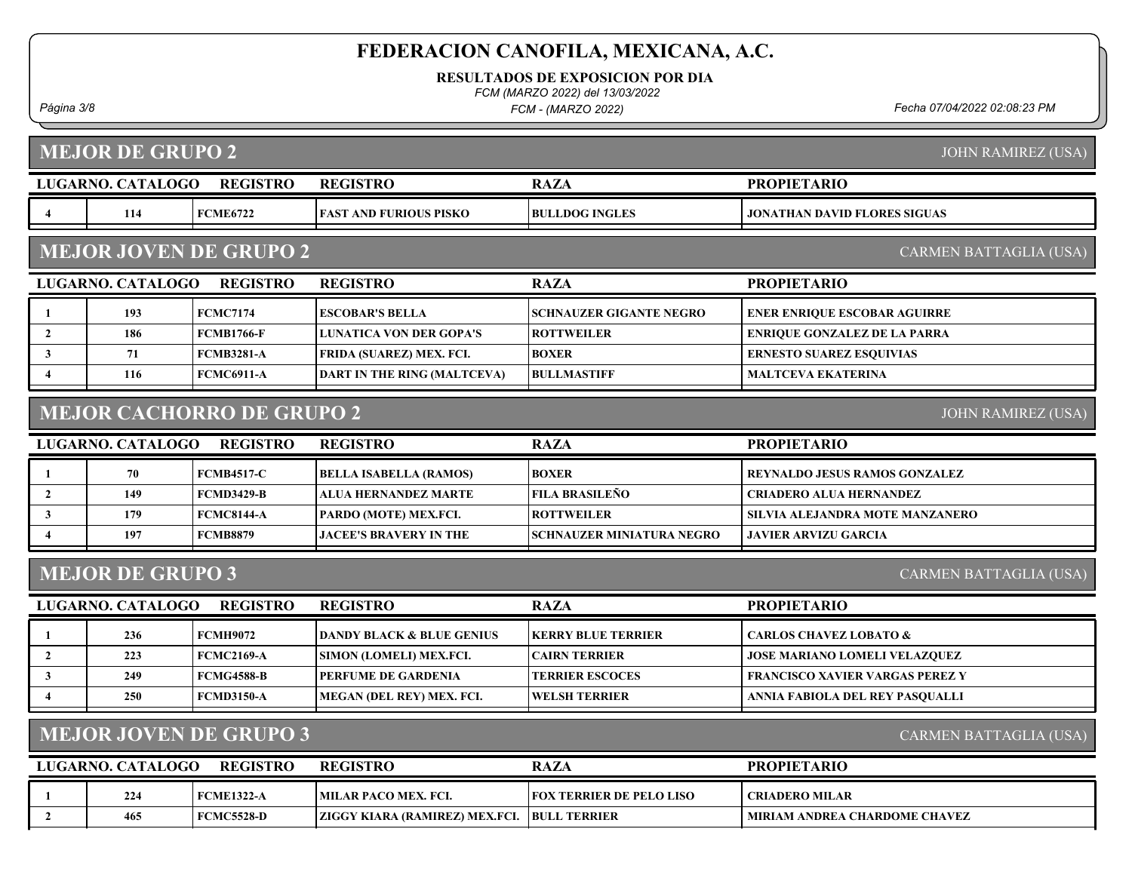RESULTADOS DE EXPOSICION POR DIA

FCM (MARZO 2022) del 13/03/2022

FCM - (MARZO 2022)

Página 3/8 Fecha 07/04/2022 02:08:23 PM

MEJOR DE GRUPO 2

JOHN RAMIREZ (USA)

|                                                         | LUGARNO. CATALOGO       | <b>REGISTRO</b>                  | <b>REGISTRO</b>                      | <b>RAZA</b>                    | <b>PROPIETARIO</b>                     |  |
|---------------------------------------------------------|-------------------------|----------------------------------|--------------------------------------|--------------------------------|----------------------------------------|--|
| $\overline{4}$                                          | 114                     | <b>FCME6722</b>                  | <b>FAST AND FURIOUS PISKO</b>        | <b>BULLDOG INGLES</b>          | <b>JONATHAN DAVID FLORES SIGUAS</b>    |  |
| <b>MEJOR JOVEN DE GRUPO 2</b><br>CARMEN BATTAGLIA (USA) |                         |                                  |                                      |                                |                                        |  |
|                                                         | LUGARNO. CATALOGO       | <b>REGISTRO</b>                  | <b>REGISTRO</b>                      | <b>RAZA</b>                    | <b>PROPIETARIO</b>                     |  |
| -1                                                      | 193                     | <b>FCMC7174</b>                  | <b>ESCOBAR'S BELLA</b>               | <b>SCHNAUZER GIGANTE NEGRO</b> | <b>ENER ENRIQUE ESCOBAR AGUIRRE</b>    |  |
| $\overline{2}$                                          | 186                     | <b>FCMB1766-F</b>                | <b>LUNATICA VON DER GOPA'S</b>       | <b>ROTTWEILER</b>              | <b>ENRIQUE GONZALEZ DE LA PARRA</b>    |  |
| 3                                                       | 71                      | <b>FCMB3281-A</b>                | FRIDA (SUAREZ) MEX. FCI.             | <b>BOXER</b>                   | <b>ERNESTO SUAREZ ESQUIVIAS</b>        |  |
| 4                                                       | 116                     | <b>FCMC6911-A</b>                | <b>DART IN THE RING (MALTCEVA)</b>   | <b>BULLMASTIFF</b>             | <b>MALTCEVA EKATERINA</b>              |  |
|                                                         |                         | <b>MEJOR CACHORRO DE GRUPO 2</b> |                                      |                                | <b>JOHN RAMIREZ (USA)</b>              |  |
|                                                         | LUGARNO. CATALOGO       | <b>REGISTRO</b>                  | <b>REGISTRO</b>                      | <b>RAZA</b>                    | <b>PROPIETARIO</b>                     |  |
|                                                         | 70                      | <b>FCMB4517-C</b>                | <b>BELLA ISABELLA (RAMOS)</b>        | <b>BOXER</b>                   | <b>REYNALDO JESUS RAMOS GONZALEZ</b>   |  |
| $\overline{2}$                                          | 149                     | <b>FCMD3429-B</b>                | ALUA HERNANDEZ MARTE                 | <b>FILA BRASILEÑO</b>          | <b>CRIADERO ALUA HERNANDEZ</b>         |  |
| 3                                                       | 179                     | <b>FCMC8144-A</b>                | PARDO (MOTE) MEX.FCI.                | <b>ROTTWEILER</b>              | SILVIA ALEJANDRA MOTE MANZANERO        |  |
| 4                                                       | 197                     | <b>FCMB8879</b>                  | <b>JACEE'S BRAVERY IN THE</b>        | SCHNAUZER MINIATURA NEGRO      | <b>JAVIER ARVIZU GARCIA</b>            |  |
|                                                         | <b>MEJOR DE GRUPO 3</b> |                                  |                                      |                                | CARMEN BATTAGLIA (USA)                 |  |
|                                                         | LUGARNO. CATALOGO       | <b>REGISTRO</b>                  | <b>REGISTRO</b>                      | <b>RAZA</b>                    | <b>PROPIETARIO</b>                     |  |
|                                                         | 236                     | <b>FCMH9072</b>                  | <b>DANDY BLACK &amp; BLUE GENIUS</b> | <b>KERRY BLUE TERRIER</b>      | <b>CARLOS CHAVEZ LOBATO &amp;</b>      |  |
| $\overline{2}$                                          | 223                     | <b>FCMC2169-A</b>                | SIMON (LOMELI) MEX.FCI.              | <b>CAIRN TERRIER</b>           | <b>JOSE MARIANO LOMELI VELAZQUEZ</b>   |  |
| $\mathbf{3}$                                            | 249                     | <b>FCMG4588-B</b>                | PERFUME DE GARDENIA                  | <b>TERRIER ESCOCES</b>         | <b>FRANCISCO XAVIER VARGAS PEREZ Y</b> |  |
| $\boldsymbol{4}$                                        | 250                     | <b>FCMD3150-A</b>                | MEGAN (DEL REY) MEX. FCI.            | <b>WELSH TERRIER</b>           | ANNIA FABIOLA DEL REY PASQUALLI        |  |
|                                                         |                         | <b>MEJOR JOVEN DE GRUPO 3</b>    |                                      |                                | <b>CARMEN BATTAGLIA (USA)</b>          |  |
|                                                         | LUGARNO. CATALOGO       | <b>REGISTRO</b>                  | <b>REGISTRO</b>                      | <b>RAZA</b>                    | <b>PROPIETARIO</b>                     |  |
|                                                         | 224                     | <b>FCME1322-A</b>                | <b>MILAR PACO MEX. FCI.</b>          | FOX TERRIER DE PELO LISO       | <b>CRIADERO MILAR</b>                  |  |
| $\overline{2}$                                          | 465                     | <b>FCMC5528-D</b>                | ZIGGY KIARA (RAMIREZ) MEX.FCI.       | <b>BULL TERRIER</b>            | <b>MIRIAM ANDREA CHARDOME CHAVEZ</b>   |  |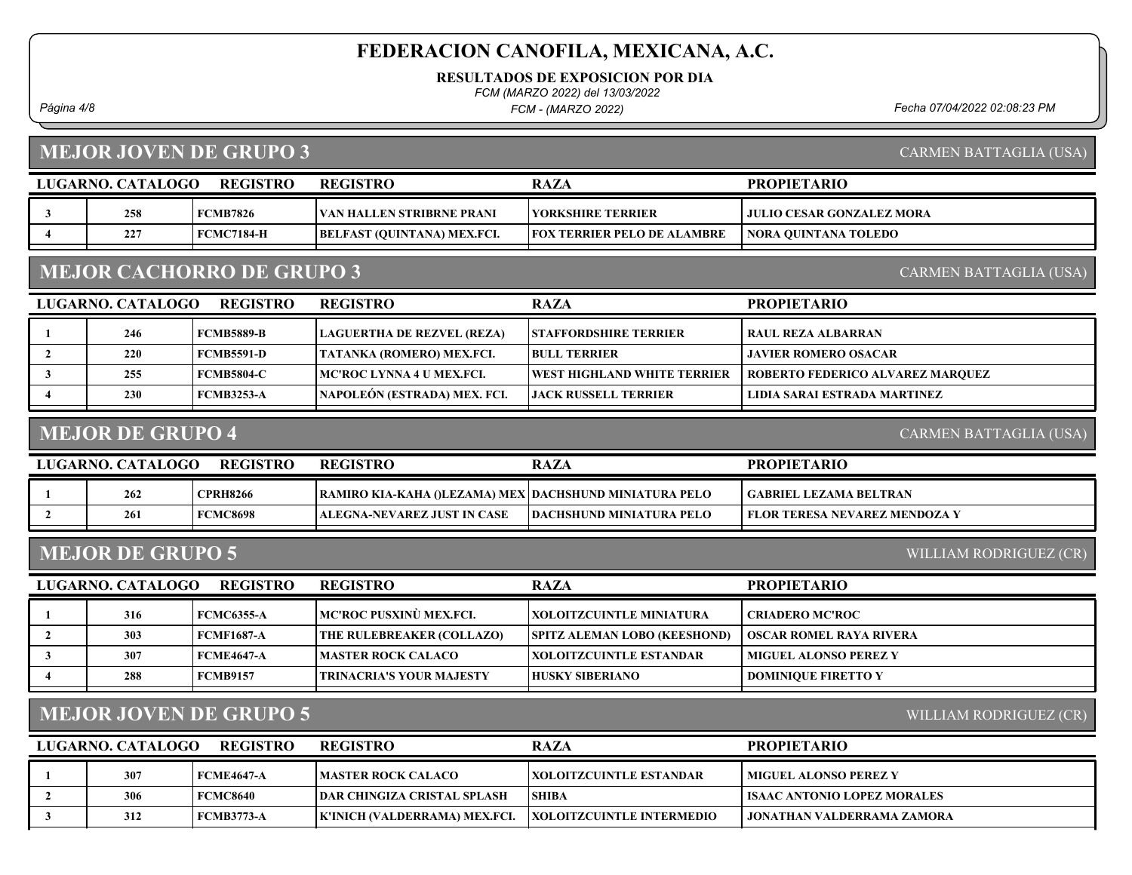RESULTADOS DE EXPOSICION POR DIA

FCM (MARZO 2022) del 13/03/2022

FCM - (MARZO 2022)

Página 4/8 Fecha 07/04/2022 02:08:23 PM

# MEJOR JOVEN DE GRUPO 3

CARMEN BATTAGLIA (USA)

|                        | LUGARNO. CATALOGO                                          | <b>REGISTRO</b>               | <b>REGISTRO</b>                                        | <b>RAZA</b>                         | <b>PROPIETARIO</b>                   |  |  |
|------------------------|------------------------------------------------------------|-------------------------------|--------------------------------------------------------|-------------------------------------|--------------------------------------|--|--|
| 3                      | 258                                                        | <b>FCMB7826</b>               | VAN HALLEN STRIBRNE PRANI                              | <b>YORKSHIRE TERRIER</b>            | JULIO CESAR GONZALEZ MORA            |  |  |
| $\overline{4}$         | 227                                                        | <b>FCMC7184-H</b>             | BELFAST (QUINTANA) MEX.FCI.                            | <b>FOX TERRIER PELO DE ALAMBRE</b>  | <b>NORA QUINTANA TOLEDO</b>          |  |  |
|                        | <b>MEJOR CACHORRO DE GRUPO 3</b><br>CARMEN BATTAGLIA (USA) |                               |                                                        |                                     |                                      |  |  |
|                        | LUGARNO. CATALOGO                                          | <b>REGISTRO</b>               | <b>REGISTRO</b>                                        | <b>RAZA</b>                         | <b>PROPIETARIO</b>                   |  |  |
|                        | 246                                                        | <b>FCMB5889-B</b>             | <b>LAGUERTHA DE REZVEL (REZA)</b>                      | <b>STAFFORDSHIRE TERRIER</b>        | <b>RAUL REZA ALBARRAN</b>            |  |  |
| $\overline{2}$         | 220                                                        | <b>FCMB5591-D</b>             | TATANKA (ROMERO) MEX.FCI.                              | <b>BULL TERRIER</b>                 | <b>JAVIER ROMERO OSACAR</b>          |  |  |
| 3                      | 255                                                        | <b>FCMB5804-C</b>             | <b>MC'ROC LYNNA 4 U MEX.FCI.</b>                       | WEST HIGHLAND WHITE TERRIER         | ROBERTO FEDERICO ALVAREZ MARQUEZ     |  |  |
| $\boldsymbol{\Lambda}$ | 230                                                        | <b>FCMB3253-A</b>             | NAPOLEÓN (ESTRADA) MEX. FCI.                           | <b>JACK RUSSELL TERRIER</b>         | LIDIA SARAI ESTRADA MARTINEZ         |  |  |
|                        | <b>MEJOR DE GRUPO 4</b>                                    |                               |                                                        |                                     | <b>CARMEN BATTAGLIA (USA)</b>        |  |  |
|                        | LUGARNO. CATALOGO                                          | <b>REGISTRO</b>               | <b>REGISTRO</b>                                        | <b>RAZA</b>                         | <b>PROPIETARIO</b>                   |  |  |
|                        | 262                                                        | <b>CPRH8266</b>               | RAMIRO KIA-KAHA ()LEZAMA) MEX DACHSHUND MINIATURA PELO |                                     | <b>GABRIEL LEZAMA BELTRAN</b>        |  |  |
| $\overline{2}$         | 261                                                        | <b>FCMC8698</b>               | ALEGNA-NEVAREZ JUST IN CASE                            | <b>DACHSHUND MINIATURA PELO</b>     | <b>FLOR TERESA NEVAREZ MENDOZA Y</b> |  |  |
|                        | <b>MEJOR DE GRUPO 5</b>                                    |                               |                                                        |                                     | WILLIAM RODRIGUEZ (CR)               |  |  |
|                        | LUGARNO. CATALOGO                                          | <b>REGISTRO</b>               | <b>REGISTRO</b>                                        | <b>RAZA</b>                         | <b>PROPIETARIO</b>                   |  |  |
| $\mathbf{1}$           | 316                                                        | <b>FCMC6355-A</b>             | MC'ROC PUSXINÙ MEX.FCI.                                | XOLOITZCUINTLE MINIATURA            | <b>CRIADERO MC'ROC</b>               |  |  |
| $\overline{2}$         | 303                                                        | <b>FCMF1687-A</b>             | THE RULEBREAKER (COLLAZO)                              | <b>SPITZ ALEMAN LOBO (KEESHOND)</b> | <b>OSCAR ROMEL RAYA RIVERA</b>       |  |  |
| 3                      | 307                                                        | <b>FCME4647-A</b>             | <b>MASTER ROCK CALACO</b>                              | <b>XOLOITZCUINTLE ESTANDAR</b>      | <b>MIGUEL ALONSO PEREZ Y</b>         |  |  |
| $\overline{\bf{4}}$    | 288                                                        | <b>FCMB9157</b>               | TRINACRIA'S YOUR MAJESTY                               | <b>HUSKY SIBERIANO</b>              | <b>DOMINIQUE FIRETTO Y</b>           |  |  |
|                        |                                                            | <b>MEJOR JOVEN DE GRUPO 5</b> |                                                        |                                     | WILLIAM RODRIGUEZ (CR)               |  |  |
|                        | LUGARNO. CATALOGO                                          | <b>REGISTRO</b>               | <b>REGISTRO</b>                                        | <b>RAZA</b>                         | <b>PROPIETARIO</b>                   |  |  |
| $\mathbf{1}$           | 307                                                        | <b>FCME4647-A</b>             | <b>MASTER ROCK CALACO</b>                              | XOLOITZCUINTLE ESTANDAR             | <b>MIGUEL ALONSO PEREZ Y</b>         |  |  |
| $\overline{2}$         | 306                                                        | <b>FCMC8640</b>               | <b>DAR CHINGIZA CRISTAL SPLASH</b>                     | <b>SHIBA</b>                        | <b>ISAAC ANTONIO LOPEZ MORALES</b>   |  |  |
| $\mathbf{3}$           | 312                                                        | <b>FCMB3773-A</b>             | K'INICH (VALDERRAMA) MEX.FCI.                          | XOLOITZCUINTLE INTERMEDIO           | JONATHAN VALDERRAMA ZAMORA           |  |  |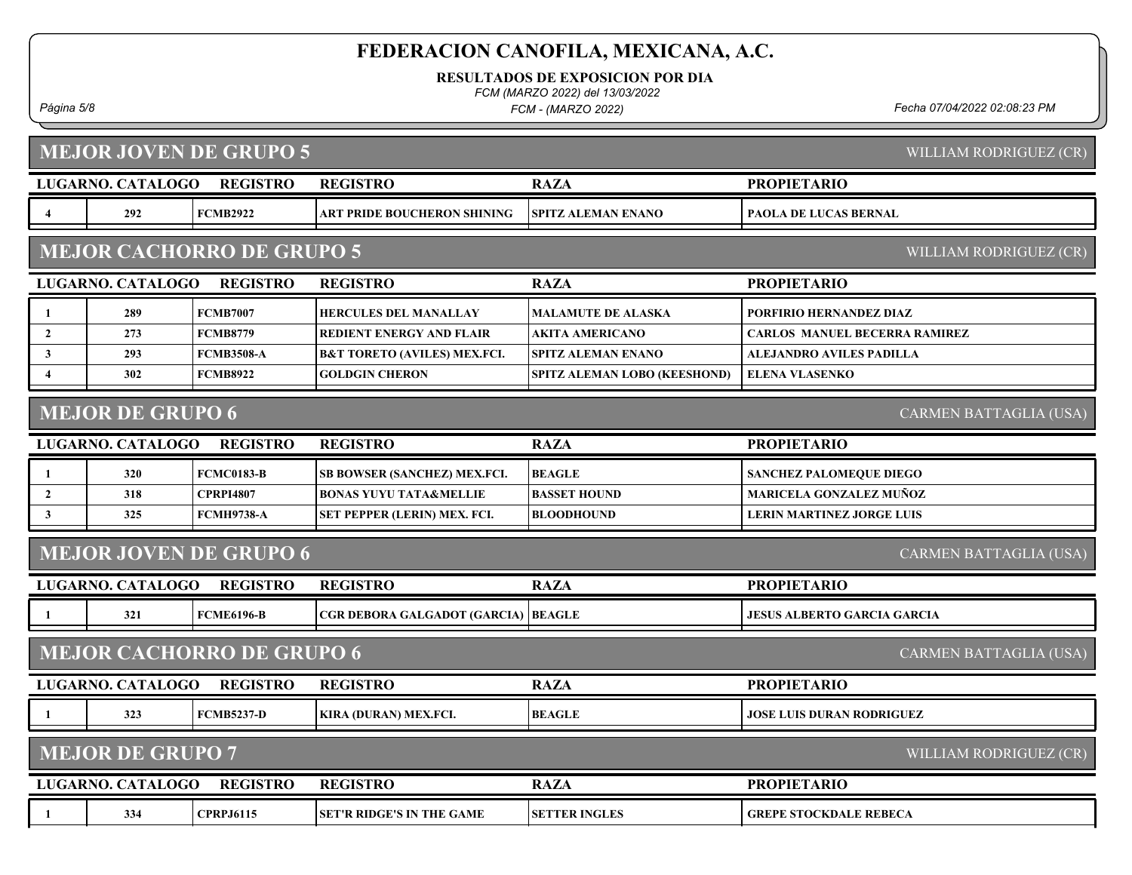RESULTADOS DE EXPOSICION POR DIA

FCM (MARZO 2022) del 13/03/2022

FCM - (MARZO 2022)

Página 5/8 Fecha 07/04/2022 02:08:23 PM

|                  |                          | <b>MEJOR JOVEN DE GRUPO 5</b>    |                                         |                              | WILLIAM RODRIGUEZ (CR)               |
|------------------|--------------------------|----------------------------------|-----------------------------------------|------------------------------|--------------------------------------|
|                  | LUGARNO. CATALOGO        | <b>REGISTRO</b>                  | <b>REGISTRO</b>                         | <b>RAZA</b>                  | <b>PROPIETARIO</b>                   |
| 4                | 292                      | <b>FCMB2922</b>                  | ART PRIDE BOUCHERON SHINING             | <b>SPITZ ALEMAN ENANO</b>    | <b>PAOLA DE LUCAS BERNAL</b>         |
|                  |                          | <b>MEJOR CACHORRO DE GRUPO 5</b> |                                         |                              | WILLIAM RODRIGUEZ (CR)               |
|                  | <b>LUGARNO. CATALOGO</b> | <b>REGISTRO</b>                  | <b>REGISTRO</b>                         | <b>RAZA</b>                  | <b>PROPIETARIO</b>                   |
| 1                | 289                      | <b>FCMB7007</b>                  | <b>HERCULES DEL MANALLAY</b>            | <b>MALAMUTE DE ALASKA</b>    | PORFIRIO HERNANDEZ DIAZ              |
| $\overline{2}$   | 273                      | <b>FCMB8779</b>                  | <b>REDIENT ENERGY AND FLAIR</b>         | <b>AKITA AMERICANO</b>       | <b>CARLOS MANUEL BECERRA RAMIREZ</b> |
| $\mathbf{3}$     | 293                      | <b>FCMB3508-A</b>                | <b>B&amp;T TORETO (AVILES) MEX.FCI.</b> | <b>SPITZ ALEMAN ENANO</b>    | <b>ALEJANDRO AVILES PADILLA</b>      |
| $\boldsymbol{4}$ | 302                      | <b>FCMB8922</b>                  | <b>GOLDGIN CHERON</b>                   | SPITZ ALEMAN LOBO (KEESHOND) | <b>ELENA VLASENKO</b>                |
|                  | <b>MEJOR DE GRUPO 6</b>  |                                  |                                         |                              | CARMEN BATTAGLIA (USA)               |
|                  | LUGARNO. CATALOGO        | <b>REGISTRO</b>                  | <b>REGISTRO</b>                         | <b>RAZA</b>                  | <b>PROPIETARIO</b>                   |
| -1               | 320                      | <b>FCMC0183-B</b>                | SB BOWSER (SANCHEZ) MEX.FCI.            | <b>BEAGLE</b>                | <b>SANCHEZ PALOMEQUE DIEGO</b>       |
| $\overline{2}$   | 318                      | <b>CPRPI4807</b>                 | <b>BONAS YUYU TATA&amp;MELLIE</b>       | <b>BASSET HOUND</b>          | <b>MARICELA GONZALEZ MUÑOZ</b>       |
| $\mathbf{3}$     | 325                      | <b>FCMH9738-A</b>                | SET PEPPER (LERIN) MEX. FCI.            | <b>BLOODHOUND</b>            | <b>LERIN MARTINEZ JORGE LUIS</b>     |
|                  |                          | <b>MEJOR JOVEN DE GRUPO 6</b>    |                                         |                              | <b>CARMEN BATTAGLIA (USA)</b>        |
|                  | LUGARNO. CATALOGO        | <b>REGISTRO</b>                  | <b>REGISTRO</b>                         | <b>RAZA</b>                  | <b>PROPIETARIO</b>                   |
| -1               | 321                      | <b>FCME6196-B</b>                | CGR DEBORA GALGADOT (GARCIA)            | <b>BEAGLE</b>                | <b>JESUS ALBERTO GARCIA GARCIA</b>   |
|                  |                          | <b>MEJOR CACHORRO DE GRUPO 6</b> |                                         |                              | CARMEN BATTAGLIA (USA)               |
|                  | LUGARNO. CATALOGO        | <b>REGISTRO</b>                  | <b>REGISTRO</b>                         | <b>RAZA</b>                  | <b>PROPIETARIO</b>                   |
| -1               | 323                      | <b>FCMB5237-D</b>                | KIRA (DURAN) MEX.FCI.                   | <b>BEAGLE</b>                | <b>JOSE LUIS DURAN RODRIGUEZ</b>     |
|                  | <b>MEJOR DE GRUPO 7</b>  |                                  |                                         |                              | WILLIAM RODRIGUEZ (CR)               |
|                  | LUGARNO. CATALOGO        | <b>REGISTRO</b>                  | <b>REGISTRO</b>                         | <b>RAZA</b>                  | <b>PROPIETARIO</b>                   |
|                  | 334                      | <b>CPRPJ6115</b>                 | <b>SET'R RIDGE'S IN THE GAME</b>        | <b>SETTER INGLES</b>         | <b>GREPE STOCKDALE REBECA</b>        |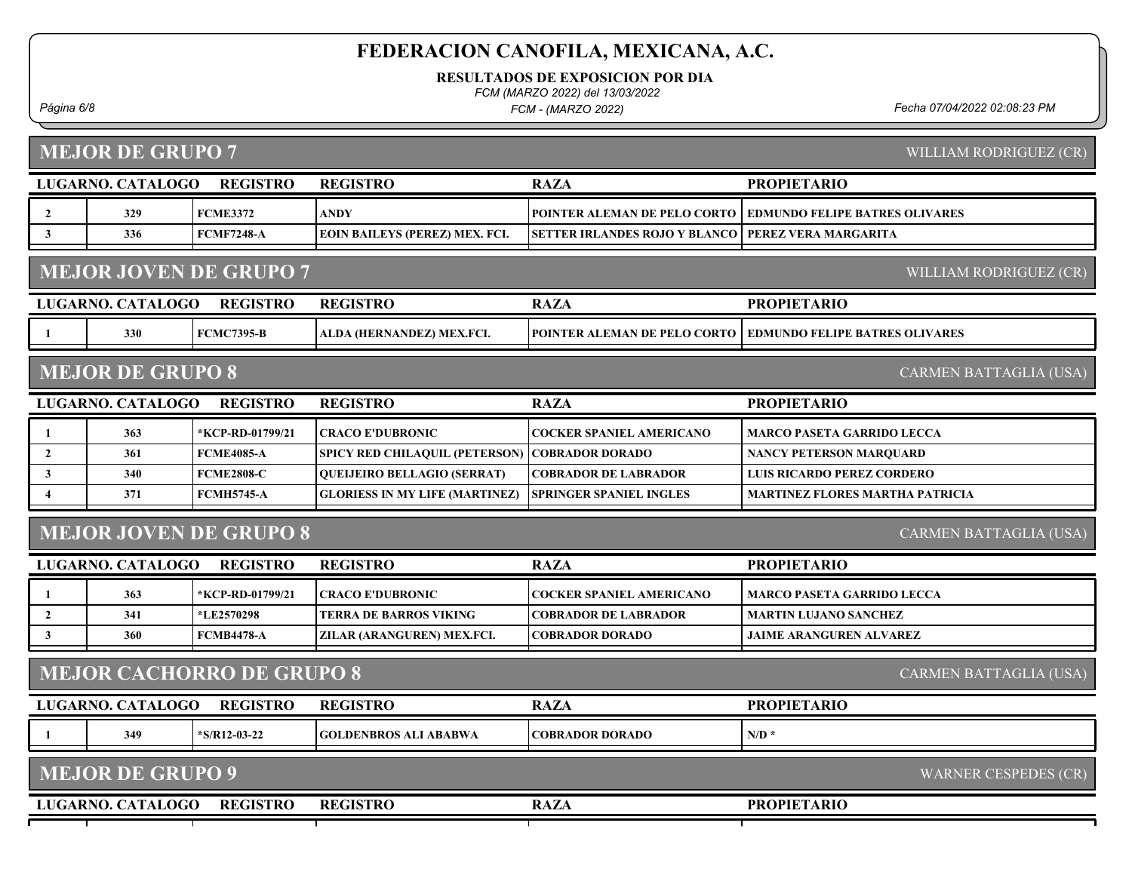RESULTADOS DE EXPOSICION POR DIA

FCM (MARZO 2022) del 13/03/2022

FCM - (MARZO 2022)

Página 6/8 Fecha 07/04/2022 02:08:23 PM

MEJOR DE GRUPO 7

WILLIAM RODRIGUEZ (CR)

|                                                         | LUGARNO. CATALOGO       | <b>REGISTRO</b>                  | <b>REGISTRO</b>                       | <b>RAZA</b>                          | <b>PROPIETARIO</b>                     |  |
|---------------------------------------------------------|-------------------------|----------------------------------|---------------------------------------|--------------------------------------|----------------------------------------|--|
| $\overline{2}$                                          | 329                     | <b>FCME3372</b>                  | <b>ANDY</b>                           | POINTER ALEMAN DE PELO CORTO         | <b>EDMUNDO FELIPE BATRES OLIVARES</b>  |  |
| $\mathbf{3}$                                            | 336                     | <b>FCMF7248-A</b>                | <b>EOIN BAILEYS (PEREZ) MEX. FCI.</b> | <b>SETTER IRLANDES ROJO Y BLANCO</b> | PEREZ VERA MARGARITA                   |  |
| <b>MEJOR JOVEN DE GRUPO 7</b><br>WILLIAM RODRIGUEZ (CR) |                         |                                  |                                       |                                      |                                        |  |
|                                                         | LUGARNO. CATALOGO       | <b>REGISTRO</b>                  | <b>REGISTRO</b>                       | <b>RAZA</b>                          | <b>PROPIETARIO</b>                     |  |
|                                                         | 330                     | <b>FCMC7395-B</b>                | ALDA (HERNANDEZ) MEX.FCI.             | POINTER ALEMAN DE PELO CORTO         | <b>EDMUNDO FELIPE BATRES OLIVARES</b>  |  |
|                                                         | <b>MEJOR DE GRUPO 8</b> |                                  |                                       |                                      | <b>CARMEN BATTAGLIA (USA)</b>          |  |
|                                                         | LUGARNO. CATALOGO       | <b>REGISTRO</b>                  | <b>REGISTRO</b>                       | <b>RAZA</b>                          | <b>PROPIETARIO</b>                     |  |
| -1                                                      | 363                     | *KCP-RD-01799/21                 | <b>CRACO E'DUBRONIC</b>               | <b>COCKER SPANIEL AMERICANO</b>      | <b>MARCO PASETA GARRIDO LECCA</b>      |  |
| $\overline{2}$                                          | 361                     | <b>FCME4085-A</b>                | SPICY RED CHILAQUIL (PETERSON)        | <b>COBRADOR DORADO</b>               | <b>NANCY PETERSON MARQUARD</b>         |  |
| 3                                                       | 340                     | <b>FCME2808-C</b>                | QUEIJEIRO BELLAGIO (SERRAT)           | <b>COBRADOR DE LABRADOR</b>          | <b>LUIS RICARDO PEREZ CORDERO</b>      |  |
| $\overline{4}$                                          | 371                     | <b>FCMH5745-A</b>                | <b>GLORIESS IN MY LIFE (MARTINEZ)</b> | <b>SPRINGER SPANIEL INGLES</b>       | <b>MARTINEZ FLORES MARTHA PATRICIA</b> |  |
| <b>MEJOR JOVEN DE GRUPO 8</b><br>CARMEN BATTAGLIA (USA) |                         |                                  |                                       |                                      |                                        |  |
|                                                         |                         |                                  |                                       |                                      |                                        |  |
|                                                         | LUGARNO. CATALOGO       | <b>REGISTRO</b>                  | <b>REGISTRO</b>                       | <b>RAZA</b>                          | <b>PROPIETARIO</b>                     |  |
| 1                                                       | 363                     | *KCP-RD-01799/21                 | <b>CRACO E'DUBRONIC</b>               | <b>COCKER SPANIEL AMERICANO</b>      | <b>MARCO PASETA GARRIDO LECCA</b>      |  |
| $\overline{2}$                                          | 341                     | *LE2570298                       | <b>TERRA DE BARROS VIKING</b>         | <b>COBRADOR DE LABRADOR</b>          | <b>MARTIN LUJANO SANCHEZ</b>           |  |
| 3                                                       | 360                     | <b>FCMB4478-A</b>                | ZILAR (ARANGUREN) MEX.FCI.            | <b>COBRADOR DORADO</b>               | <b>JAIME ARANGUREN ALVAREZ</b>         |  |
|                                                         |                         | <b>MEJOR CACHORRO DE GRUPO 8</b> |                                       |                                      | <b>CARMEN BATTAGLIA (USA)</b>          |  |
|                                                         | LUGARNO. CATALOGO       | <b>REGISTRO</b>                  | <b>REGISTRO</b>                       | <b>RAZA</b>                          | <b>PROPIETARIO</b>                     |  |
| - 1                                                     | 349                     | $*$ S/R12-03-22                  | <b>GOLDENBROS ALI ABABWA</b>          | <b>COBRADOR DORADO</b>               | $N/D$ *                                |  |
|                                                         | <b>MEJOR DE GRUPO 9</b> |                                  |                                       |                                      | <b>WARNER CESPEDES (CR)</b>            |  |
|                                                         | LUGARNO. CATALOGO       | <b>REGISTRO</b>                  | <b>REGISTRO</b>                       | <b>RAZA</b>                          | <b>PROPIETARIO</b>                     |  |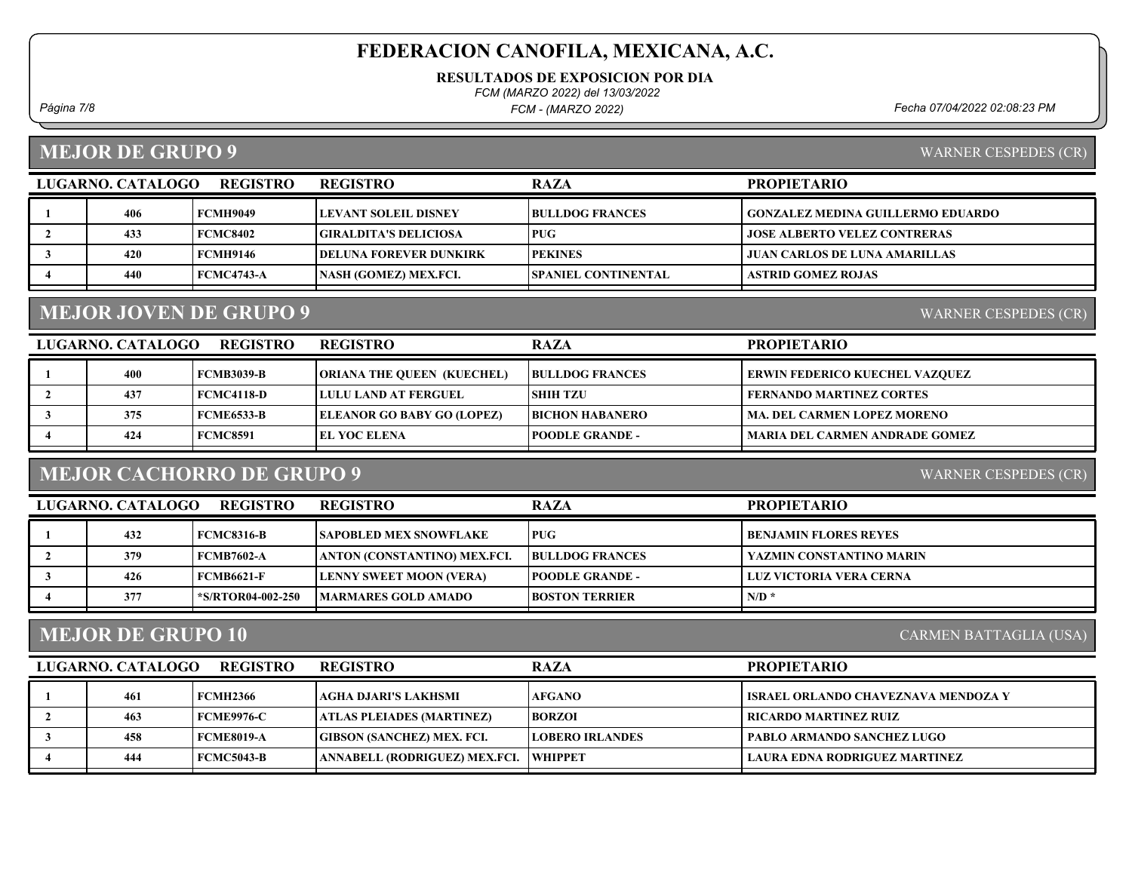RESULTADOS DE EXPOSICION POR DIA

FCM (MARZO 2022) del 13/03/2022

FCM - (MARZO 2022)

Página 7/8 Fecha 07/04/2022 02:08:23 PM

## MEJOR DE GRUPO 9

| WARNER CESPEDES (CR) |  |
|----------------------|--|
|                      |  |
|                      |  |

| <b>REGISTRO</b><br>LUGARNO, CATALOGO |     |                   | <b>REGISTRO</b>                | <b>RAZA</b>                | <b>PROPIETARIO</b>                 |
|--------------------------------------|-----|-------------------|--------------------------------|----------------------------|------------------------------------|
|                                      | 406 | <b>FCMH9049</b>   | LEVANT SOLEIL DISNEY           | <b>BULLDOG FRANCES</b>     | GONZALEZ MEDINA GUILLERMO EDUARDO_ |
|                                      | 433 | <b>FCMC8402</b>   | GIRALDITA'S DELICIOSA_         | <b>PUG</b>                 | JOSE ALBERTO VELEZ CONTRERAS       |
|                                      | 420 | FCMH9146          | <b> DELUNA FOREVER DUNKIRK</b> | <b>IPEKINES</b>            | JUAN CARLOS DE LUNA AMARILLAS      |
|                                      | 440 | <b>FCMC4743-A</b> | NASH (GOMEZ) MEX.FCI.          | <b>SPANIEL CONTINENTAL</b> | <b>ASTRID GOMEZ ROJAS</b>          |

# MEJOR JOVEN DE GRUPO 9

| LUGARNO. CATALOGO<br><b>REGISTRO</b> |     |                   | <b>REGISTRO</b>                   | <b>RAZA</b>            | <b>PROPIETARIO</b>                    |
|--------------------------------------|-----|-------------------|-----------------------------------|------------------------|---------------------------------------|
|                                      | 400 | FCMB3039-B        | <b>ORIANA THE QUEEN (KUECHEL)</b> | <b>BULLDOG FRANCES</b> | <b>ERWIN FEDERICO KUECHEL VAZQUEZ</b> |
|                                      | 437 | FCMC4118-D        | <b>LULU LAND AT FERGUEL</b>       | <b>SHIH TZU</b>        | <b>FERNANDO MARTINEZ CORTES</b>       |
|                                      | 375 | <b>FCME6533-B</b> | <b>ELEANOR GO BABY GO (LOPEZ)</b> | <b>BICHON HABANERO</b> | <b>MA. DEL CARMEN LOPEZ MORENO</b>    |
|                                      | 424 | <b>FCMC8591</b>   | <b>EL YOC ELENA</b>               | <b>POODLE GRANDE -</b> | <b>MARIA DEL CARMEN ANDRADE GOMEZ</b> |
|                                      |     |                   |                                   |                        |                                       |

# MEJOR CACHORRO DE GRUPO 9

WARNER CESPEDES (CR)

| LUGARNO. CATALOGO<br><b>REGISTRO</b> |     |                   | <b>REGISTRO</b>                | <b>RAZA</b>             | <b>PROPIETARIO</b>              |
|--------------------------------------|-----|-------------------|--------------------------------|-------------------------|---------------------------------|
|                                      | 432 | FCMC8316-B        | <b>SAPOBLED MEX SNOWFLAKE</b>  | <b>PUG</b>              | BENJAMIN FLORES REYES           |
|                                      | 379 | FCMB7602-A        | ANTON (CONSTANTINO) MEX.FCI.   | <b>BULLDOG FRANCES</b>  | <b>YAZMIN CONSTANTINO MARIN</b> |
|                                      | 426 | FCMB6621-F        | <b>LENNY SWEET MOON (VERA)</b> | <b>IPOODLE GRANDE -</b> | LUZ VICTORIA VERA CERNA         |
|                                      | 377 | *S/RTOR04-002-250 | <b>IMARMARES GOLD AMADO</b>    | <b>BOSTON TERRIER</b>   | N/D                             |

### MEJOR DE GRUPO 10

CARMEN BATTAGLIA (USA)

| LUGARNO. CATALOGO | <b>REGISTRO</b>   | <b>REGISTRO</b>                        | <b>RAZA</b>            | <b>PROPIETARIO</b>                    |
|-------------------|-------------------|----------------------------------------|------------------------|---------------------------------------|
| 461               | FCMH2366          | AGHA DJARI'S LAKHSMI                   | <b>AFGANO</b>          | I ISRAEL ORLANDO CHAVEZNAVA MENDOZA Y |
| 463               | <b>FCME9976-C</b> | ATLAS PLEIADES (MARTINEZ)              | <b>BORZOI</b>          | RICARDO MARTINEZ RUIZ                 |
| 458               | FCME8019-A        | <b>GIBSON (SANCHEZ) MEX. FCI.</b>      | <b>LOBERO IRLANDES</b> | <b>PABLO ARMANDO SANCHEZ LUGO</b>     |
| 444               | FCMC5043-B        | ANNABELL (RODRIGUEZ) MEX.FCI.  WHIPPET |                        | LAURA EDNA RODRIGUEZ MARTINEZ         |
|                   |                   |                                        |                        |                                       |

WARNER CESPEDES (CR)